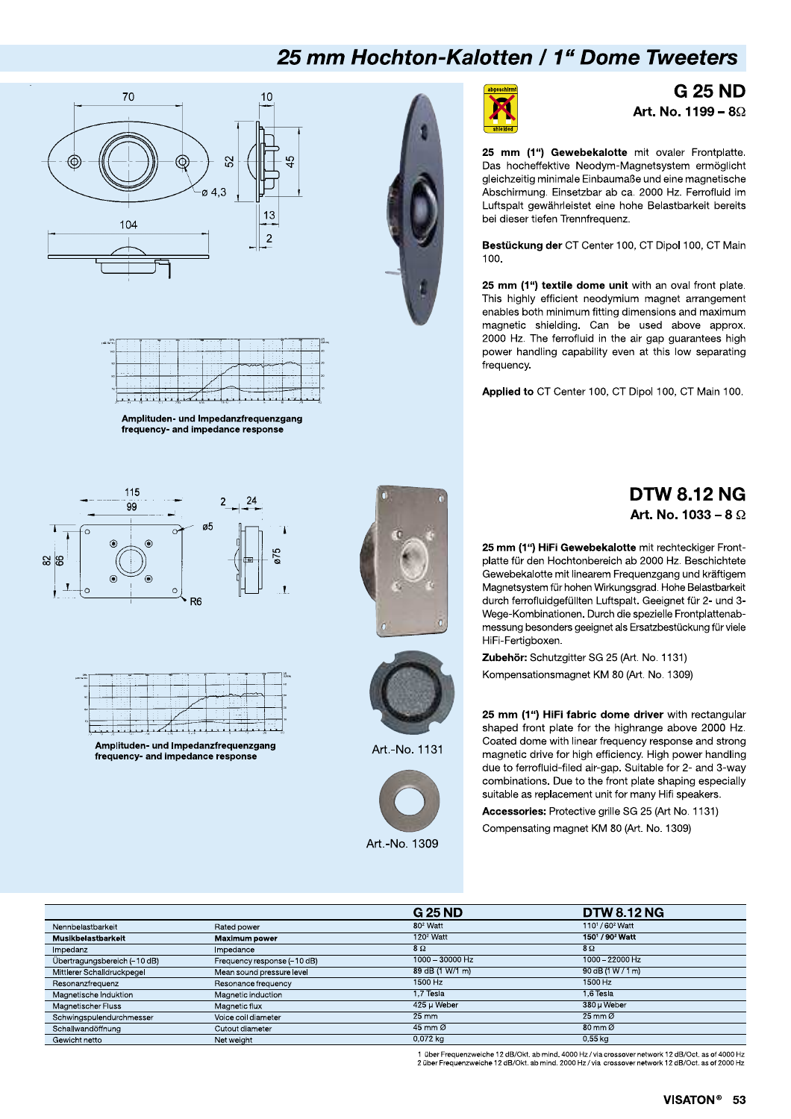# 25 mm Hochton-Kalotten / 1" Dome Tweeters





Amplituden- und Impedanzfrequenzgang frequency- and impedance response



|                 |  |  |  |  |  |  |  |  |   |     |  |  |  |  |     |  |                     |  | $\frac{ L }{(0 \ln n)}$ |
|-----------------|--|--|--|--|--|--|--|--|---|-----|--|--|--|--|-----|--|---------------------|--|-------------------------|
| $^{352}$        |  |  |  |  |  |  |  |  |   |     |  |  |  |  |     |  |                     |  | и                       |
|                 |  |  |  |  |  |  |  |  | ٠ | - 2 |  |  |  |  |     |  |                     |  |                         |
| $\overline{15}$ |  |  |  |  |  |  |  |  |   |     |  |  |  |  |     |  |                     |  |                         |
| 50              |  |  |  |  |  |  |  |  |   |     |  |  |  |  |     |  |                     |  | ΙN                      |
|                 |  |  |  |  |  |  |  |  |   |     |  |  |  |  |     |  |                     |  | 16                      |
| TQ              |  |  |  |  |  |  |  |  |   |     |  |  |  |  |     |  |                     |  |                         |
|                 |  |  |  |  |  |  |  |  |   |     |  |  |  |  | 191 |  | $\overline{\infty}$ |  |                         |

Amplituden- und Impedanzfrequenzgang frequency- and impedance response





**G 25 ND** Art. No. 1199 -  $8\Omega$ 

25 mm (1") Gewebekalotte mit ovaler Frontplatte. Das hocheffektive Neodym-Magnetsystem ermöglicht gleichzeitig minimale Einbaumaße und eine magnetische Abschirmung. Einsetzbar ab ca. 2000 Hz. Ferrofluid im Luftspalt gewährleistet eine hohe Belastbarkeit bereits bei dieser tiefen Trennfrequenz.

Bestückung der CT Center 100, CT Dipol 100, CT Main 100

25 mm (1") textile dome unit with an oval front plate. This highly efficient neodymium magnet arrangement enables both minimum fitting dimensions and maximum magnetic shielding. Can be used above approx. 2000 Hz. The ferrofluid in the air gap guarantees high power handling capability even at this low separating frequency.

Applied to CT Center 100, CT Dipol 100, CT Main 100.



Art.-No. 1131



## **DTW 8.12 NG** Art. No. 1033 - 8  $\Omega$

25 mm (1") HiFi Gewebekalotte mit rechteckiger Frontplatte für den Hochtonbereich ab 2000 Hz. Beschichtete Gewebekalotte mit linearem Frequenzgang und kräftigem Magnetsystem für hohen Wirkungsgrad. Hohe Belastbarkeit durch ferrofluidgefüllten Luftspalt. Geeignet für 2- und 3-Wege-Kombinationen. Durch die spezielle Frontplattenabmessung besonders geeignet als Ersatzbestückung für viele HiFi-Fertigboxen.

Zubehör: Schutzgitter SG 25 (Art. No. 1131) Kompensationsmagnet KM 80 (Art. No. 1309)

25 mm (1") HiFi fabric dome driver with rectangular shaped front plate for the highrange above 2000 Hz. Coated dome with linear frequency response and strong magnetic drive for high efficiency. High power handling due to ferrofluid-filed air-gap. Suitable for 2- and 3-way combinations. Due to the front plate shaping especially suitable as replacement unit for many Hifi speakers.

Accessories: Protective grille SG 25 (Art No. 1131) Compensating magnet KM 80 (Art. No. 1309)

|                              |                             | <b>G 25 ND</b>                | <b>DTW 8.12 NG</b>                      |
|------------------------------|-----------------------------|-------------------------------|-----------------------------------------|
| Nennbelastbarkeit            | Rated power                 | 80 <sup>2</sup> Watt          | 110 <sup>1</sup> / 60 <sup>2</sup> Watt |
| Musikbelastbarkeit           | <b>Maximum power</b>        | $1202$ Watt                   | 1501 / 90 <sup>2</sup> Watt             |
| Impedanz                     | Impedance                   | $8\Omega$                     | $8\Omega$                               |
| Übertragungsbereich (-10 dB) | Frequency response (-10 dB) | $1000 - 30000$ Hz             | $1000 - 22000$ Hz                       |
| Mittlerer Schalldruckpegel   | Mean sound pressure level   | 89 dB (1 W/1 m)               | 90 dB (1 W / 1 m)                       |
| Resonanzfrequenz             | Resonance frequency         | 1500 Hz                       | 1500 Hz                                 |
| Magnetische Induktion        | Magnetic induction          | 1.7 Tesla                     | 1.6 Tesla                               |
| Magnetischer Fluss           | Magnetic flux               | 425 µ Weber                   | 380 µ Weber                             |
| Schwingspulendurchmesser     | Voice coil diameter         | $25 \text{ mm}$               | $25 \text{ mm}$ $\Omega$                |
| Schallwandöffnung            | Cutout diameter             | $45 \text{ mm}$ $\varnothing$ | $80 \text{ mm}$ $\varnothing$           |
| Gewicht netto                | Net weight                  | $0.072$ kg                    | $0.55$ kg                               |

1 über Frequenzweiche 12 dB/Okt. ab mind. 4000 Hz / via crossover network 12 dB/Oct. as of 4000 Hz<br>2 über Frequenzweiche 12 dB/Okt. ab mind. 2000 Hz / via crossover network 12 dB/Oct. as of 2000 Hz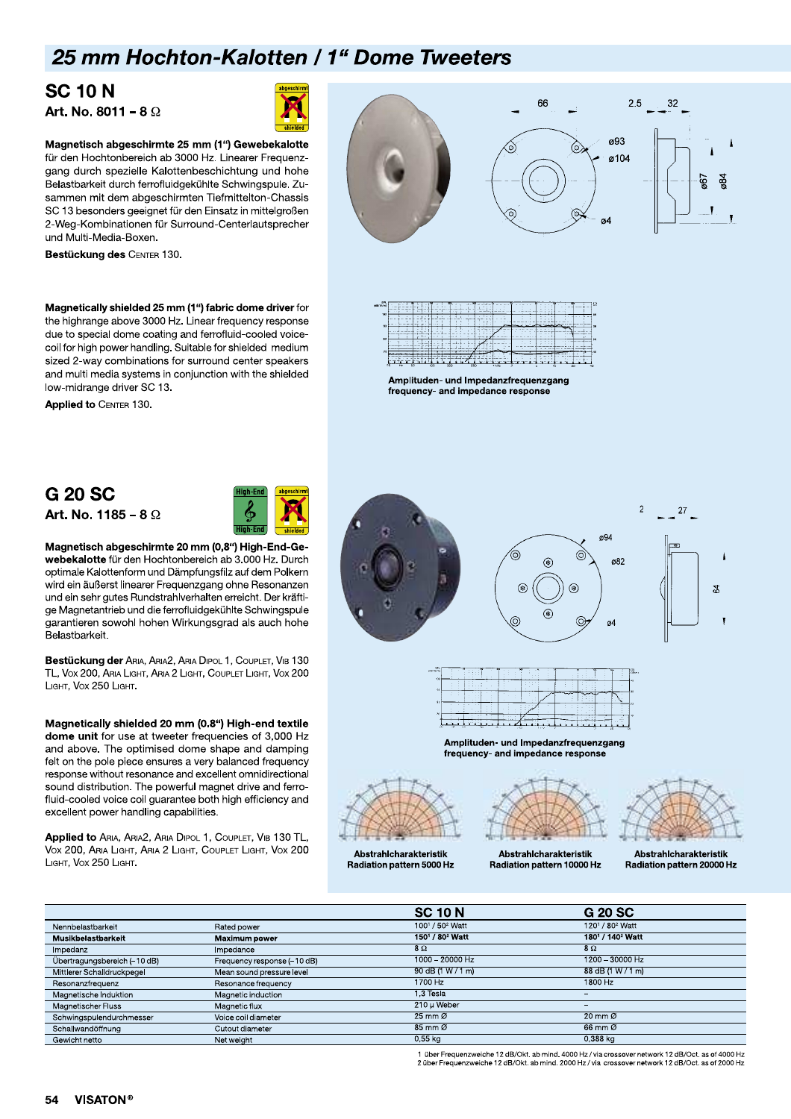# 25 mm Hochton-Kalotten / 1" Dome Tweeters

#### **SC 10 N** Art. No. 8011 - 8  $\Omega$



Magnetisch abgeschirmte 25 mm (1") Gewebekalotte für den Hochtonbereich ab 3000 Hz. Linearer Frequenzgang durch spezielle Kalottenbeschichtung und hohe Belastbarkeit durch ferrofluidgekühlte Schwingspule. Zusammen mit dem abgeschirmten Tiefmittelton-Chassis SC 13 besonders geeignet für den Einsatz in mittelgroßen 2-Weg-Kombinationen für Surround-Centerlautsprecher und Multi-Media-Boxen.

Bestückung des CENTER 130.

Magnetically shielded 25 mm (1") fabric dome driver for the highrange above 3000 Hz. Linear frequency response due to special dome coating and ferrofluid-cooled voicecoil for high power handling. Suitable for shielded medium sized 2-way combinations for surround center speakers and multi media systems in conjunction with the shielded low-midrange driver SC 13.

**Applied to CENTER 130.** 

## G 20 SC Art. No. 1185 - 8  $\Omega$



Magnetisch abgeschirmte 20 mm (0,8") High-End-Gewebekalotte für den Hochtonbereich ab 3.000 Hz. Durch optimale Kalottenform und Dämpfungsfilz auf dem Polkern wird ein äußerst linearer Frequenzgang ohne Resonanzen und ein sehr gutes Rundstrahlverhalten erreicht. Der kräftige Magnetantrieb und die ferrofluidgekühlte Schwingspule garantieren sowohl hohen Wirkungsgrad als auch hohe Belastbarkeit.

Bestückung der ARIA, ARIA2, ARIA DIPOL 1, COUPLET, VIB 130 TL, Vox 200, ARIA LIGHT, ARIA 2 LIGHT, COUPLET LIGHT, VOX 200 LIGHT, VOX 250 LIGHT.

Magnetically shielded 20 mm (0.8") High-end textile dome unit for use at tweeter frequencies of 3,000 Hz and above. The optimised dome shape and damping felt on the pole piece ensures a very balanced frequency response without resonance and excellent omnidirectional sound distribution. The powerful magnet drive and ferrofluid-cooled voice coil guarantee both high efficiency and excellent power handling capabilities.

Applied to ARIA, ARIA2, ARIA DIPOL 1, COUPLET, VIB 130 TL, VOX 200, ARIA LIGHT, ARIA 2 LIGHT, COUPLET LIGHT, VOX 200 LIGHT, VOX 250 LIGHT.



| 192            |            |            |                      | u                                          |
|----------------|------------|------------|----------------------|--------------------------------------------|
| 92             |            |            |                      | 30                                         |
| 40             | <b>ALC</b> |            |                      | м                                          |
| T <sub>0</sub> |            |            |                      | и                                          |
|                | н          | 200<br>10. | 500<br><b>Victor</b> | $\overline{10}$<br>$\overline{\mathbf{x}}$ |

Amplituden- und Impedanzfrequenzgang frequency- and impedance response



| 591<br>of Brittings |  |   |                  |                            |     |      |   |         |   | 鼠       |
|---------------------|--|---|------------------|----------------------------|-----|------|---|---------|---|---------|
| 900                 |  |   |                  |                            |     |      | ٠ |         |   | $^{40}$ |
| $\infty$            |  |   | <b>ALC</b>       |                            |     |      |   |         |   | 36      |
|                     |  |   | ٠<br>- 1<br>$-1$ |                            |     |      |   | ×.      |   |         |
| $\bullet$           |  |   | 1.1              |                            |     |      |   | a.<br>٠ | ٠ | $^{22}$ |
| 20                  |  |   |                  |                            |     |      |   |         |   | 10      |
|                     |  | w | m.               | $\mathcal{N}_{\text{ext}}$ | 569 | 1,07 |   |         |   |         |

Amplituden- und Impedanzfrequenzgang frequency- and impedance response



Abstrahlcharakteristik Radiation pattern 5000 Hz



Abstrahlcharakteristik

Radiation pattern 10000 Hz

Abstrahlcharakteristik Radiation pattern 20000 Hz

|                              |                             | <b>SC 10 N</b>                          | G 20 SC                                 |
|------------------------------|-----------------------------|-----------------------------------------|-----------------------------------------|
| Nennbelastbarkeit            | Rated power                 | 100 <sup>1</sup> / 50 <sup>2</sup> Watt | 120 <sup>1</sup> / 80 <sup>2</sup> Watt |
| Musikbelastbarkeit           | <b>Maximum power</b>        | 150 <sup>1</sup> / 80 <sup>2</sup> Watt | 1801 / 140 <sup>2</sup> Watt            |
| Impedanz                     | Impedance                   | $8\Omega$                               | $8\Omega$                               |
| Übertragungsbereich (-10 dB) | Frequency response (-10 dB) | $1000 - 20000$ Hz                       | $1200 - 30000$ Hz                       |
| Mittlerer Schalldruckpegel   | Mean sound pressure level   | 90 dB (1 W / 1 m)                       | 88 dB (1 W / 1 m)                       |
| Resonanzfrequenz             | Resonance frequency         | 1700 Hz                                 | 1800 Hz                                 |
| Magnetische Induktion        | Magnetic induction          | 1.3 Tesla                               |                                         |
| Magnetischer Fluss           | Magnetic flux               | 210 µ Weber                             | -                                       |
| Schwingspulendurchmesser     | Voice coil diameter         | $25 \text{ mm}$ $\varnothing$           | $20 \text{ mm}$ $\Omega$                |
| Schallwandöffnung            | Cutout diameter             | $85 \text{ mm}$ $\varnothing$           | $66$ mm $\varnothing$                   |
| Gewicht netto                | Net weight                  | $0.55$ kg                               | $0.388$ kg                              |

1 über Frequenzweiche 12 dB/Okt. ab mind. 4000 Hz / via crossover network 12 dB/Oct. as of 4000 Hz<br>2 über Frequenzweiche 12 dB/Okt. ab mind. 2000 Hz / via crossover network 12 dB/Oct. as of 2000 Hz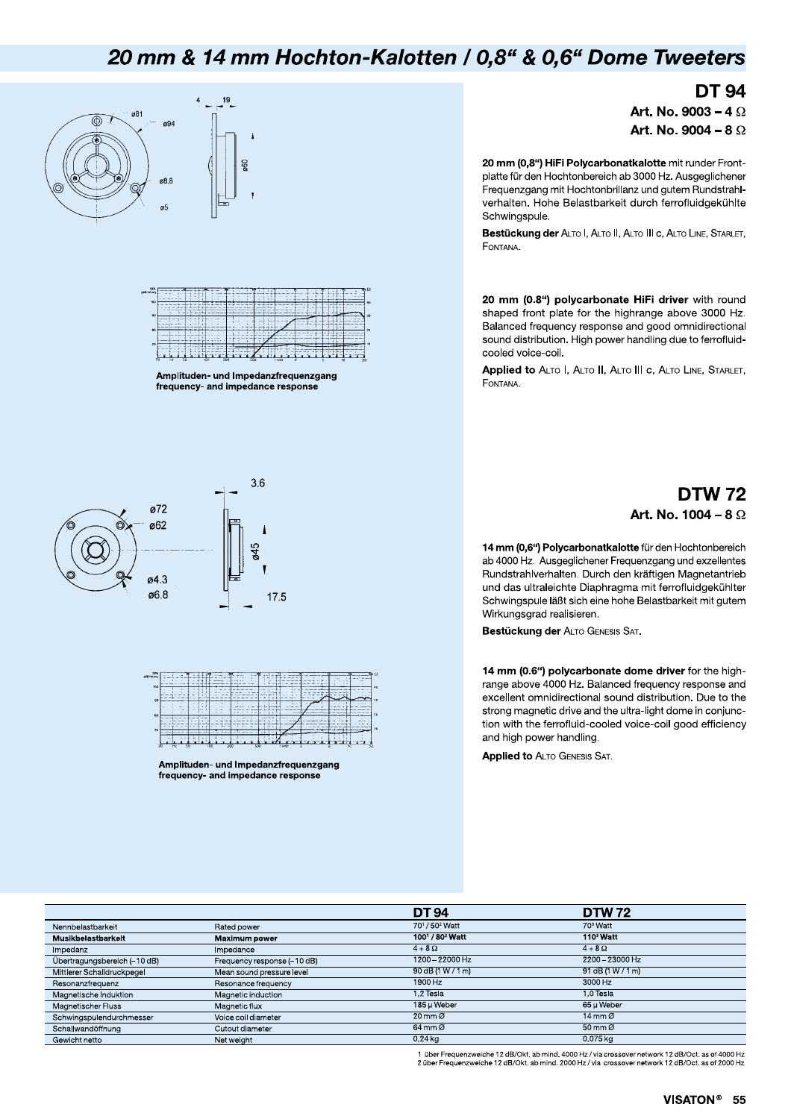# 20 mm & 14 mm Hochton-Kalotten / 0,8" & 0,6" Dome Tweeters











17.5



frequency- and impedance response

#### **DT 94** Art. No. 9003 - 4  $\Omega$ Art. No. 9004 - 8  $\Omega$

20 mm (0,8") HiFi Polycarbonatkalotte mit runder Frontplatte für den Hochtonbereich ab 3000 Hz. Ausgeglichener Frequenzgang mit Hochtonbrillanz und gutem Rundstrahlverhalten. Hohe Belastbarkeit durch ferrofluidgekühlte Schwingspule.

Bestückung der ALTO I, ALTO II, ALTO III c, ALTO LINE, STARLET, FONTANA.

20 mm (0.8") polycarbonate HiFi driver with round shaped front plate for the highrange above 3000 Hz. Balanced frequency response and good omnidirectional sound distribution. High power handling due to ferrofluidcooled voice-coil.

Applied to ALTO I, ALTO II, ALTO III c, ALTO LINE, STARLET, FONTANA.

#### **DTW 72** Art. No. 1004 - 8  $\Omega$

14 mm (0,6") Polycarbonatkalotte für den Hochtonbereich ab 4000 Hz. Ausgeglichener Frequenzgang und exzellentes Rundstrahlverhalten. Durch den kräftigen Magnetantrieb und das ultraleichte Diaphragma mit ferrofluidgekühlter Schwingspule läßt sich eine hohe Belastbarkeit mit gutem Wirkungsgrad realisieren.

Bestückung der ALTO GENESIS SAT.

14 mm (0.6") polycarbonate dome driver for the highrange above 4000 Hz. Balanced frequency response and excellent omnidirectional sound distribution. Due to the strong magnetic drive and the ultra-light dome in conjunction with the ferrofluid-cooled voice-coil good efficiency and high power handling

**Applied to ALTO GENESIS SAT.** 

|                              |                             | <b>DT94</b>                            | <b>DTW72</b>         |
|------------------------------|-----------------------------|----------------------------------------|----------------------|
| Nennbelastbarkeit            | Rated power                 | 70 <sup>1</sup> / 50 <sup>2</sup> Watt | 70 <sup>3</sup> Watt |
| Musikbelastbarkeit           | <b>Maximum power</b>        | 1001 / 80 <sup>2</sup> Watt            | $1103$ Watt          |
| Impedanz                     | Impedance                   | $4+8\Omega$                            | $4+8\Omega$          |
| Übertragungsbereich (-10 dB) | Frequency response (-10 dB) | $1200 - 22000$ Hz                      | $2200 - 23000$ Hz    |
| Mittlerer Schalldruckpegel   | Mean sound pressure level   | 90 dB (1 W / 1 m)                      | 91 dB (1 W / 1 m)    |
| Resonanzfrequenz             | Resonance frequency         | 1900 Hz                                | 3000 Hz              |
| Magnetische Induktion        | Magnetic induction          | 1.2 Tesla                              | 1.0 Tesla            |
| Magnetischer Fluss           | Magnetic flux               | 185 µ Weber                            | 65 µ Weber           |
| Schwingspulendurchmesser     | Voice coil diameter         | $20 \text{ mm}$ $\varnothing$          | 14 mm $\Omega$       |
| Schallwandöffnung            | Cutout diameter             | $64 \text{ mm}$ $\varnothing$          | $50 \text{ mm}$ $Q$  |
| Gewicht netto                | Net weight                  | $0.24$ kg                              | $0.075$ kg           |

1 über Frequenzweiche 12 dB/Okt. ab mind. 4000 Hz / via crossover network 12 dB/Oct. as of 4000 Hz<br>2 über Frequenzweiche 12 dB/Okt. ab mind. 2000 Hz / via crossover network 12 dB/Oct. as of 2000 Hz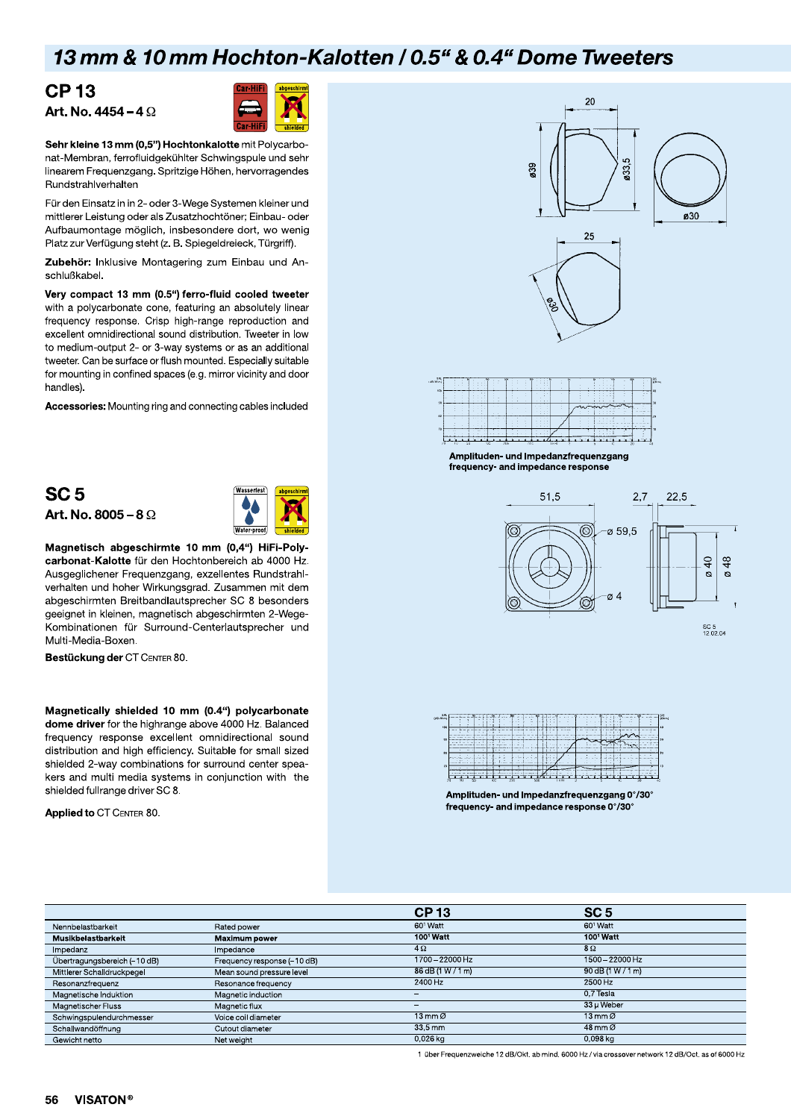## 13 mm & 10 mm Hochton-Kalotten / 0.5" & 0.4" Dome Tweeters

#### **CP13** Art. No. 4454 – 4 $\Omega$



Sehr kleine 13 mm (0.5") Hochtonkalotte mit Polycarbonat-Membran, ferrofluidgekühlter Schwingspule und sehr linearem Frequenzgang. Spritzige Höhen, hervorragendes **Bundstrahlverhalten** 

Für den Einsatz in in 2- oder 3-Wege Systemen kleiner und mittlerer Leistung oder als Zusatzhochtöner; Einbau- oder Aufbaumontage möglich, insbesondere dort, wo wenig Platz zur Verfügung steht (z. B. Spiegeldreieck, Türgriff).

Zubehör: Inklusive Montagering zum Einbau und Anschlußkabel.

Very compact 13 mm (0.5") ferro-fluid cooled tweeter with a polycarbonate cone, featuring an absolutely linear frequency response. Crisp high-range reproduction and excellent omnidirectional sound distribution. Tweeter in low to medium-output 2- or 3-way systems or as an additional tweeter. Can be surface or flush mounted. Especially suitable for mounting in confined spaces (e.g. mirror vicinity and door handles). **Art. No. 4454 – 4** 2<br> **Sehr kleine 13 mm (0,5") Hochtonklotte** mit Polycarbo-<br>
mat-Membrian, ferrofluidgekühlter Schwingspule und sehr<br>
linearem Frequenzgang. Spritzige Höhen, hervorragendes<br>
Rundstrahlverhalten<br>
Für den

Accessories: Mounting ring and connecting cables included

### SC<sub>5</sub> Art. No. 8005 – 8 $\Omega$



Magnetisch abgeschirmte 10 mm (0.4") HiFi-Polycarbonat-Kalotte für den Hochtonbereich ab 4000 Hz. Ausgeglichener Frequenzgang, exzellentes Rundstrahlverhalten und hoher Wirkungsgrad. Zusammen mit dem abgeschirmten Breitbandlautsprecher SC 8 besonders geeignet in kleinen, magnetisch abgeschirmten 2-Wege-Kombinationen für Surround-Centerlautsprecher und Multi-Media-Boxen. **Art. No. 8005 – 8 Ω**<br>
Magnetisch abgeschirmte 10 nm (0,4") HiFi-Poly-<br>
carbonal-Kalotte für den Hooftonbersich ab 4000 Hz.<br>
Ausgeglichener Frequenzgang, exzellentes Rundstrahl-<br>
verhalten und hoher Wirkungsgrad. Zusammen

Bestückung der CT CENTER 80.

Magnetically shielded 10 mm (0.4") polycarbonate dome driver for the highrange above 4000 Hz. Balanced frequency response excellent omnidirectional sound distribution and high efficiency. Suitable for small sized shielded 2-way combinations for surround center speakers and multi media systems in conjunction with the shielded fullrange driver SC 8.

**Applied to CT CENTER 80.** 





Amplituden- und Impedanzfreguenzgang frequency- and impedance response



SC 5<br>12.02.04

| <b>SP</b><br>B.W/m |  |  |   |  |  |  |  |  |  |  |  |  |  |  |  |  |  |  |  |  |  |  |  |  |  |  |  |  |  |  |  |  | 10 <sub>0</sub> |
|--------------------|--|--|---|--|--|--|--|--|--|--|--|--|--|--|--|--|--|--|--|--|--|--|--|--|--|--|--|--|--|--|--|--|-----------------|
| 100                |  |  |   |  |  |  |  |  |  |  |  |  |  |  |  |  |  |  |  |  |  |  |  |  |  |  |  |  |  |  |  |  |                 |
|                    |  |  |   |  |  |  |  |  |  |  |  |  |  |  |  |  |  |  |  |  |  |  |  |  |  |  |  |  |  |  |  |  |                 |
| 10                 |  |  |   |  |  |  |  |  |  |  |  |  |  |  |  |  |  |  |  |  |  |  |  |  |  |  |  |  |  |  |  |  |                 |
| 40                 |  |  |   |  |  |  |  |  |  |  |  |  |  |  |  |  |  |  |  |  |  |  |  |  |  |  |  |  |  |  |  |  |                 |
|                    |  |  |   |  |  |  |  |  |  |  |  |  |  |  |  |  |  |  |  |  |  |  |  |  |  |  |  |  |  |  |  |  |                 |
| 70                 |  |  |   |  |  |  |  |  |  |  |  |  |  |  |  |  |  |  |  |  |  |  |  |  |  |  |  |  |  |  |  |  |                 |
|                    |  |  | - |  |  |  |  |  |  |  |  |  |  |  |  |  |  |  |  |  |  |  |  |  |  |  |  |  |  |  |  |  |                 |

Amplituden- und Impedanzfreguenzgang 0°/30° frequency- and impedance response  $0^{\circ}/30^{\circ}$ 

|                              |                             | <b>CP13</b>              | SC <sub>5</sub>               |  |
|------------------------------|-----------------------------|--------------------------|-------------------------------|--|
| Nennbelastbarkeit            | Rated power                 | 60 <sup>1</sup> Watt     | 60 <sup>1</sup> Watt          |  |
| Musikbelastbarkeit           | <b>Maximum power</b>        | 100 <sup>1</sup> Watt    | $100^{\circ}$ Watt            |  |
| Impedanz                     | Impedance                   | $4\Omega$                | $8\Omega$                     |  |
| Übertragungsbereich (-10 dB) | Frequency response (-10 dB) | 1700 - 22000 Hz          | 1500 - 22000 Hz               |  |
| Mittlerer Schalldruckpegel   | Mean sound pressure level   | 86 dB (1 W / 1 m)        | 90dB(1W/1m)                   |  |
| Resonanzfrequenz             | Resonance frequency         | 2400 Hz                  | 2500 Hz                       |  |
| Magnetische Induktion        | Magnetic induction          | $\overline{\phantom{0}}$ | 0.7 Tesla                     |  |
| Magnetischer Fluss           | Magnetic flux               | $\overline{\phantom{0}}$ | 33 µ Weber                    |  |
| Schwingspulendurchmesser     | Voice coil diameter         | $13$ mm $\varnothing$    | $13$ mm $\varnothing$         |  |
| Schallwandöffnung            | Cutout diameter             | 33,5 mm                  | $48 \text{ mm}$ $\varnothing$ |  |
| Gewicht netto                | Net weight                  | $0,026$ kg               | $0.098$ kg                    |  |

1 über Frequenzweiche 12 dB/Okt. ab mind. 6000 Hz / via crossover network 12 dB/Oct. as of 6000 Hz